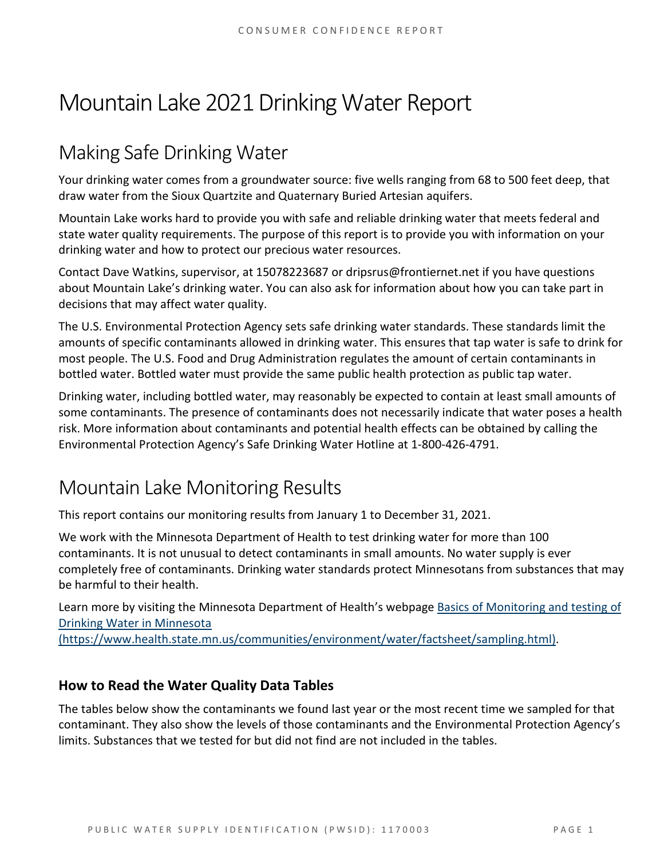# Mountain Lake 2021Drinking Water Report

## Making Safe Drinking Water

Your drinking water comes from a groundwater source: five wells ranging from 68 to 500 feet deep, that draw water from the Sioux Quartzite and Quaternary Buried Artesian aquifers.

Mountain Lake works hard to provide you with safe and reliable drinking water that meets federal and state water quality requirements. The purpose of this report is to provide you with information on your drinking water and how to protect our precious water resources.

Contact Dave Watkins, supervisor, at 15078223687 or dripsrus@frontiernet.net if you have questions about Mountain Lake's drinking water. You can also ask for information about how you can take part in decisions that may affect water quality.

The U.S. Environmental Protection Agency sets safe drinking water standards. These standards limit the amounts of specific contaminants allowed in drinking water. This ensures that tap water is safe to drink for most people. The U.S. Food and Drug Administration regulates the amount of certain contaminants in bottled water. Bottled water must provide the same public health protection as public tap water.

Drinking water, including bottled water, may reasonably be expected to contain at least small amounts of some contaminants. The presence of contaminants does not necessarily indicate that water poses a health risk. More information about contaminants and potential health effects can be obtained by calling the Environmental Protection Agency's Safe Drinking Water Hotline at 1-800-426-4791.

### Mountain Lake Monitoring Results

This report contains our monitoring results from January 1 to December 31, 2021.

We work with the Minnesota Department of Health to test drinking water for more than 100 contaminants. It is not unusual to detect contaminants in small amounts. No water supply is ever completely free of contaminants. Drinking water standards protect Minnesotans from substances that may be harmful to their health.

Learn more by visiting the Minnesota Department of Health's webpage [Basics of Monitoring and testing of](https://www.health.state.mn.us/communities/environment/water/factsheet/sampling.html)  [Drinking Water in Minnesota](https://www.health.state.mn.us/communities/environment/water/factsheet/sampling.html) 

[\(https://www.health.state.mn.us/communities/environment/water/factsheet/sampling.html\).](https://www.health.state.mn.us/communities/environment/water/factsheet/sampling.html)

#### **How to Read the Water Quality Data Tables**

The tables below show the contaminants we found last year or the most recent time we sampled for that contaminant. They also show the levels of those contaminants and the Environmental Protection Agency's limits. Substances that we tested for but did not find are not included in the tables.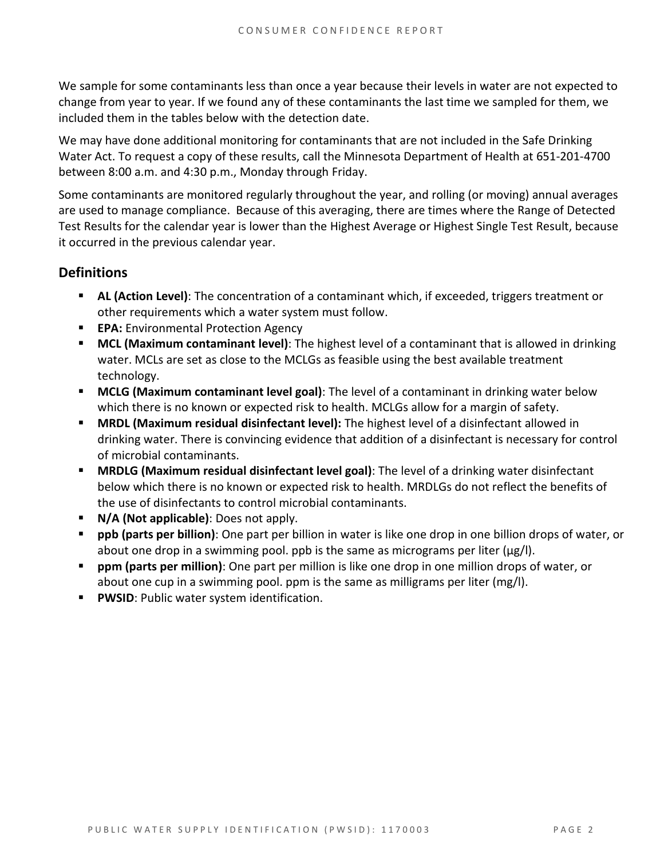We sample for some contaminants less than once a year because their levels in water are not expected to change from year to year. If we found any of these contaminants the last time we sampled for them, we included them in the tables below with the detection date.

We may have done additional monitoring for contaminants that are not included in the Safe Drinking Water Act. To request a copy of these results, call the Minnesota Department of Health at 651-201-4700 between 8:00 a.m. and 4:30 p.m., Monday through Friday.

Some contaminants are monitored regularly throughout the year, and rolling (or moving) annual averages are used to manage compliance. Because of this averaging, there are times where the Range of Detected Test Results for the calendar year is lower than the Highest Average or Highest Single Test Result, because it occurred in the previous calendar year.

#### **Definitions**

- **AL (Action Level)**: The concentration of a contaminant which, if exceeded, triggers treatment or other requirements which a water system must follow.
- **EPA:** Environmental Protection Agency
- **MCL (Maximum contaminant level)**: The highest level of a contaminant that is allowed in drinking water. MCLs are set as close to the MCLGs as feasible using the best available treatment technology.
- **MCLG (Maximum contaminant level goal)**: The level of a contaminant in drinking water below which there is no known or expected risk to health. MCLGs allow for a margin of safety.
- **MRDL (Maximum residual disinfectant level):** The highest level of a disinfectant allowed in drinking water. There is convincing evidence that addition of a disinfectant is necessary for control of microbial contaminants.
- **MRDLG (Maximum residual disinfectant level goal)**: The level of a drinking water disinfectant below which there is no known or expected risk to health. MRDLGs do not reflect the benefits of the use of disinfectants to control microbial contaminants.
- **N/A (Not applicable)**: Does not apply.
- **ppb (parts per billion)**: One part per billion in water is like one drop in one billion drops of water, or about one drop in a swimming pool. ppb is the same as micrograms per liter ( $\mu$ g/l).
- **ppm (parts per million)**: One part per million is like one drop in one million drops of water, or about one cup in a swimming pool. ppm is the same as milligrams per liter (mg/l).
- **PWSID:** Public water system identification.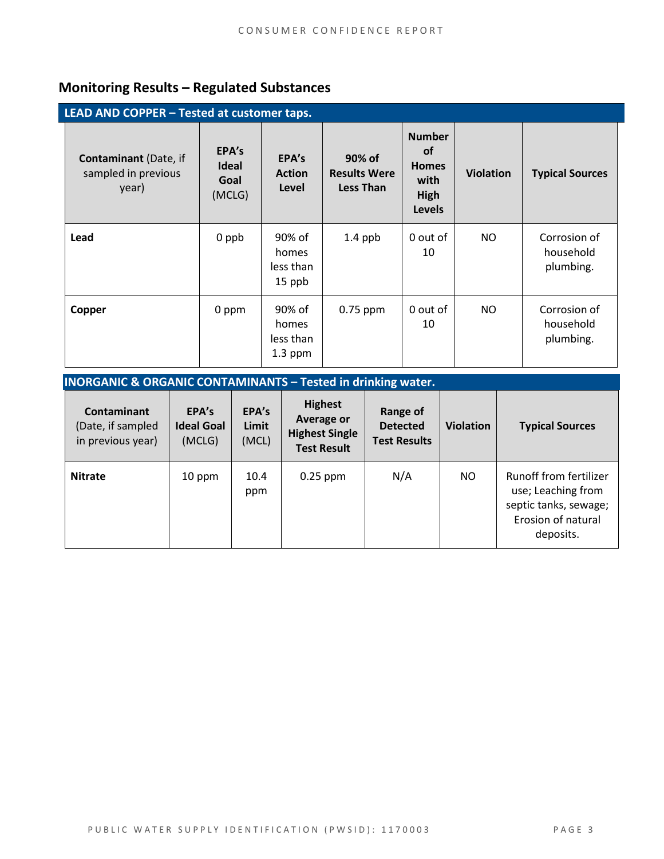### **Monitoring Results – Regulated Substances**

| LEAD AND COPPER - Tested at customer taps.                   |                                         |                                           |                                                   |                                                                             |                  |                                        |  |
|--------------------------------------------------------------|-----------------------------------------|-------------------------------------------|---------------------------------------------------|-----------------------------------------------------------------------------|------------------|----------------------------------------|--|
| <b>Contaminant</b> (Date, if<br>sampled in previous<br>year) | EPA's<br><b>Ideal</b><br>Goal<br>(MCLG) | EPA's<br><b>Action</b><br>Level           | 90% of<br><b>Results Were</b><br><b>Less Than</b> | <b>Number</b><br><b>of</b><br><b>Homes</b><br>with<br>High<br><b>Levels</b> | <b>Violation</b> | <b>Typical Sources</b>                 |  |
| Lead                                                         | 0 ppb                                   | 90% of<br>homes<br>less than<br>15 ppb    | $1.4$ ppb                                         | 0 out of<br>10                                                              | NO               | Corrosion of<br>household<br>plumbing. |  |
| Copper                                                       | 0 ppm                                   | 90% of<br>homes<br>less than<br>$1.3$ ppm | 0.75 ppm                                          | 0 out of<br>10                                                              | NO.              | Corrosion of<br>household<br>plumbing. |  |

| <b>INORGANIC &amp; ORGANIC CONTAMINANTS - Tested in drinking water.</b> |                                      |                         |                                                                             |                                                    |                  |                                                                                                          |  |  |
|-------------------------------------------------------------------------|--------------------------------------|-------------------------|-----------------------------------------------------------------------------|----------------------------------------------------|------------------|----------------------------------------------------------------------------------------------------------|--|--|
| <b>Contaminant</b><br>(Date, if sampled<br>in previous year)            | EPA's<br><b>Ideal Goal</b><br>(MCLG) | EPA's<br>Limit<br>(MCL) | <b>Highest</b><br>Average or<br><b>Highest Single</b><br><b>Test Result</b> | Range of<br><b>Detected</b><br><b>Test Results</b> | <b>Violation</b> | <b>Typical Sources</b>                                                                                   |  |  |
| <b>Nitrate</b>                                                          | 10 ppm                               | 10.4<br>ppm             | $0.25$ ppm                                                                  | N/A                                                | NO.              | Runoff from fertilizer<br>use; Leaching from<br>septic tanks, sewage;<br>Erosion of natural<br>deposits. |  |  |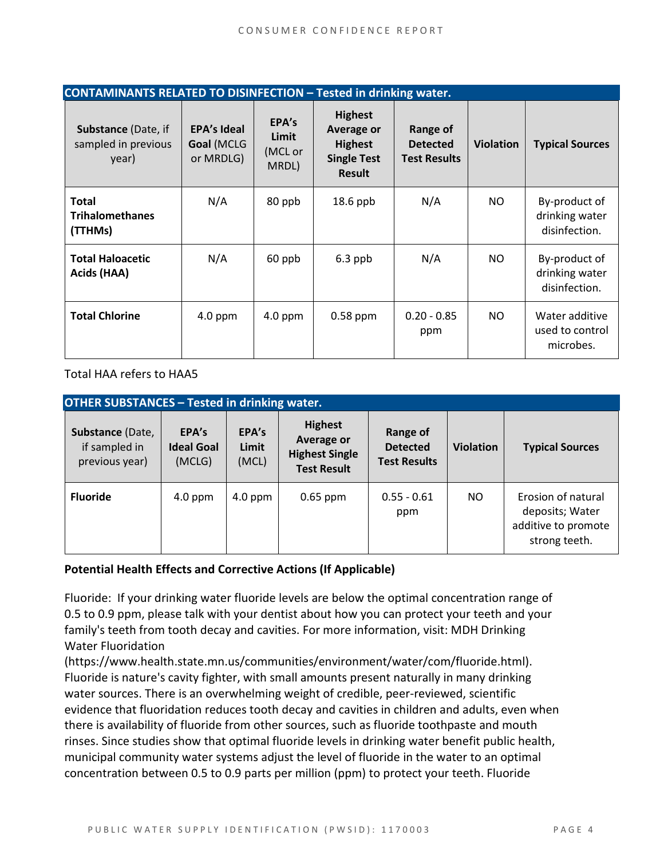| <b>CONTAMINANTS RELATED TO DISINFECTION - Tested in drinking water.</b> |                                               |                                    |                                                                                       |                                                    |                  |                                                  |  |
|-------------------------------------------------------------------------|-----------------------------------------------|------------------------------------|---------------------------------------------------------------------------------------|----------------------------------------------------|------------------|--------------------------------------------------|--|
| <b>Substance (Date, if</b><br>sampled in previous<br>year)              | <b>EPA's Ideal</b><br>Goal (MCLG<br>or MRDLG) | EPA's<br>Limit<br>(MCL or<br>MRDL) | <b>Highest</b><br>Average or<br><b>Highest</b><br><b>Single Test</b><br><b>Result</b> | Range of<br><b>Detected</b><br><b>Test Results</b> | <b>Violation</b> | <b>Typical Sources</b>                           |  |
| <b>Total</b><br><b>Trihalomethanes</b><br>(TTHMs)                       | N/A                                           | 80 ppb                             | $18.6$ ppb                                                                            | N/A                                                | NO.              | By-product of<br>drinking water<br>disinfection. |  |
| <b>Total Haloacetic</b><br>Acids (HAA)                                  | N/A                                           | 60 ppb                             | $6.3$ ppb                                                                             | N/A                                                | NO.              | By-product of<br>drinking water<br>disinfection. |  |
| <b>Total Chlorine</b>                                                   | $4.0$ ppm                                     | $4.0$ ppm                          | $0.58$ ppm                                                                            | $0.20 - 0.85$<br>ppm                               | NO.              | Water additive<br>used to control<br>microbes.   |  |

Total HAA refers to HAA5

| <b>OTHER SUBSTANCES - Tested in drinking water.</b> |                                      |                         |                                                                                    |                                                    |                  |                                                                               |  |  |
|-----------------------------------------------------|--------------------------------------|-------------------------|------------------------------------------------------------------------------------|----------------------------------------------------|------------------|-------------------------------------------------------------------------------|--|--|
| Substance (Date,<br>if sampled in<br>previous year) | EPA's<br><b>Ideal Goal</b><br>(MCLG) | EPA's<br>Limit<br>(MCL) | <b>Highest</b><br><b>Average or</b><br><b>Highest Single</b><br><b>Test Result</b> | Range of<br><b>Detected</b><br><b>Test Results</b> | <b>Violation</b> | <b>Typical Sources</b>                                                        |  |  |
| <b>Fluoride</b>                                     | $4.0$ ppm                            | $4.0$ ppm               | $0.65$ ppm                                                                         | $0.55 - 0.61$<br>ppm                               | NO.              | Erosion of natural<br>deposits; Water<br>additive to promote<br>strong teeth. |  |  |

#### **Potential Health Effects and Corrective Actions (If Applicable)**

Fluoride: If your drinking water fluoride levels are below the optimal concentration range of 0.5 to 0.9 ppm, please talk with your dentist about how you can protect your teeth and your family's teeth from tooth decay and cavities. For more information, visit: MDH Drinking Water Fluoridation

(https://www.health.state.mn.us/communities/environment/water/com/fluoride.html). Fluoride is nature's cavity fighter, with small amounts present naturally in many drinking water sources. There is an overwhelming weight of credible, peer-reviewed, scientific evidence that fluoridation reduces tooth decay and cavities in children and adults, even when there is availability of fluoride from other sources, such as fluoride toothpaste and mouth rinses. Since studies show that optimal fluoride levels in drinking water benefit public health, municipal community water systems adjust the level of fluoride in the water to an optimal concentration between 0.5 to 0.9 parts per million (ppm) to protect your teeth. Fluoride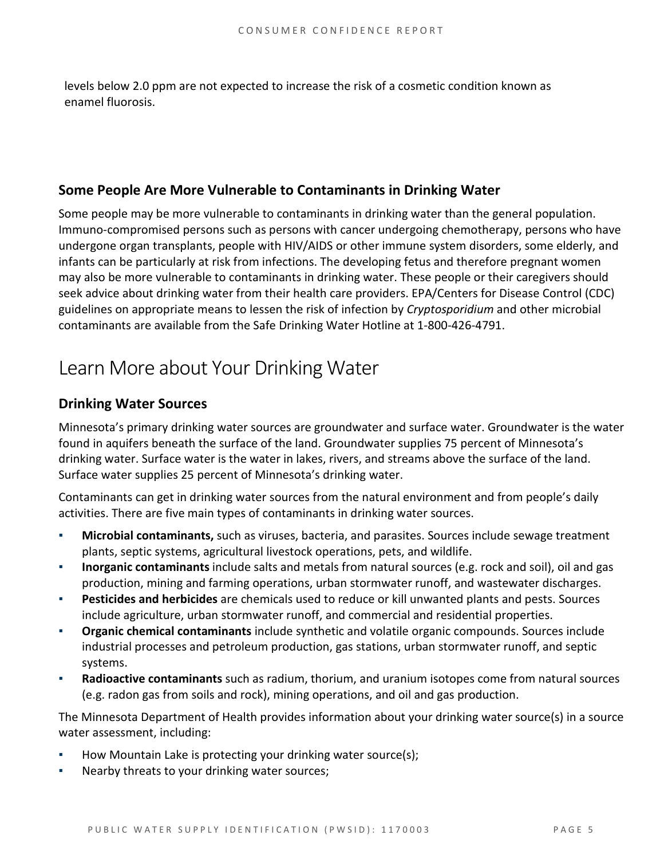levels below 2.0 ppm are not expected to increase the risk of a cosmetic condition known as enamel fluorosis.

#### **Some People Are More Vulnerable to Contaminants in Drinking Water**

Some people may be more vulnerable to contaminants in drinking water than the general population. Immuno-compromised persons such as persons with cancer undergoing chemotherapy, persons who have undergone organ transplants, people with HIV/AIDS or other immune system disorders, some elderly, and infants can be particularly at risk from infections. The developing fetus and therefore pregnant women may also be more vulnerable to contaminants in drinking water. These people or their caregivers should seek advice about drinking water from their health care providers. EPA/Centers for Disease Control (CDC) guidelines on appropriate means to lessen the risk of infection by *Cryptosporidium* and other microbial contaminants are available from the Safe Drinking Water Hotline at 1-800-426-4791.

### Learn More about Your Drinking Water

#### **Drinking Water Sources**

Minnesota's primary drinking water sources are groundwater and surface water. Groundwater is the water found in aquifers beneath the surface of the land. Groundwater supplies 75 percent of Minnesota's drinking water. Surface water is the water in lakes, rivers, and streams above the surface of the land. Surface water supplies 25 percent of Minnesota's drinking water.

Contaminants can get in drinking water sources from the natural environment and from people's daily activities. There are five main types of contaminants in drinking water sources.

- Microbial contaminants, such as viruses, bacteria, and parasites. Sources include sewage treatment plants, septic systems, agricultural livestock operations, pets, and wildlife.
- **Inorganic contaminants** include salts and metals from natural sources (e.g. rock and soil), oil and gas production, mining and farming operations, urban stormwater runoff, and wastewater discharges.
- **Pesticides and herbicides** are chemicals used to reduce or kill unwanted plants and pests. Sources include agriculture, urban stormwater runoff, and commercial and residential properties.
- **Organic chemical contaminants** include synthetic and volatile organic compounds. Sources include industrial processes and petroleum production, gas stations, urban stormwater runoff, and septic systems.
- Radioactive contaminants such as radium, thorium, and uranium isotopes come from natural sources (e.g. radon gas from soils and rock), mining operations, and oil and gas production.

The Minnesota Department of Health provides information about your drinking water source(s) in a source water assessment, including:

- **How Mountain Lake is protecting your drinking water source(s);**
- Nearby threats to your drinking water sources;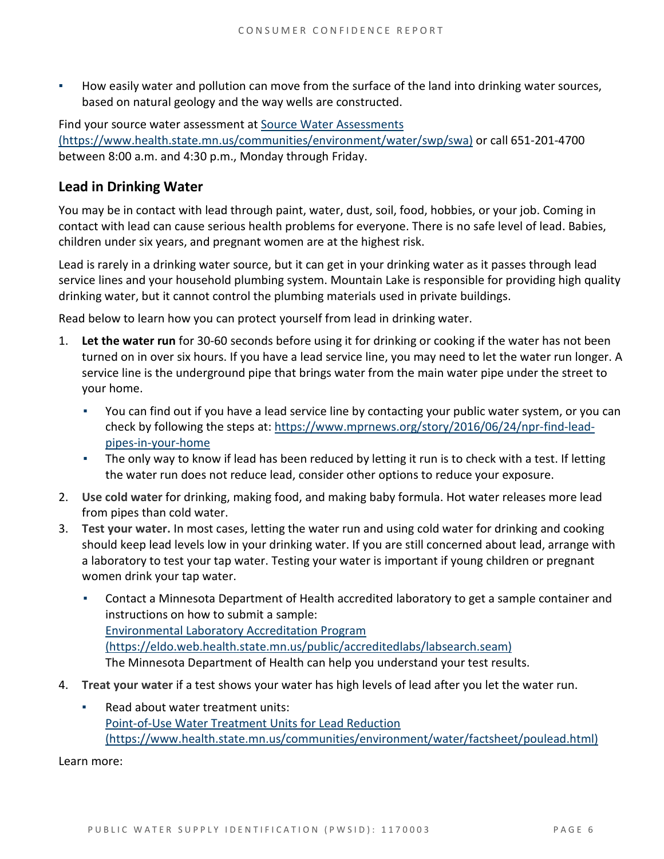How easily water and pollution can move from the surface of the land into drinking water sources, based on natural geology and the way wells are constructed.

Find your source water assessment a[t Source Water Assessments](https://www.health.state.mn.us/communities/environment/water/swp/swa)  [\(https://www.health.state.mn.us/communities/environment/water/swp/swa\)](https://www.health.state.mn.us/communities/environment/water/swp/swa) or call 651-201-4700 between 8:00 a.m. and 4:30 p.m., Monday through Friday.

#### **Lead in Drinking Water**

You may be in contact with lead through paint, water, dust, soil, food, hobbies, or your job. Coming in contact with lead can cause serious health problems for everyone. There is no safe level of lead. Babies, children under six years, and pregnant women are at the highest risk.

Lead is rarely in a drinking water source, but it can get in your drinking water as it passes through lead service lines and your household plumbing system. Mountain Lake is responsible for providing high quality drinking water, but it cannot control the plumbing materials used in private buildings.

Read below to learn how you can protect yourself from lead in drinking water.

- 1. **Let the water run** for 30-60 seconds before using it for drinking or cooking if the water has not been turned on in over six hours. If you have a lead service line, you may need to let the water run longer. A service line is the underground pipe that brings water from the main water pipe under the street to your home.
	- You can find out if you have a lead service line by contacting your public water system, or you can check by following the steps at: [https://www.mprnews.org/story/2016/06/24/npr-find-lead](https://www.mprnews.org/story/2016/06/24/npr-find-lead-pipes-in-your-home)[pipes-in-your-home](https://www.mprnews.org/story/2016/06/24/npr-find-lead-pipes-in-your-home)
	- The only way to know if lead has been reduced by letting it run is to check with a test. If letting the water run does not reduce lead, consider other options to reduce your exposure.
- 2. **Use cold water** for drinking, making food, and making baby formula. Hot water releases more lead from pipes than cold water.
- 3. **Test your water.** In most cases, letting the water run and using cold water for drinking and cooking should keep lead levels low in your drinking water. If you are still concerned about lead, arrange with a laboratory to test your tap water. Testing your water is important if young children or pregnant women drink your tap water.
	- Contact a Minnesota Department of Health accredited laboratory to get a sample container and instructions on how to submit a sample: [Environmental Laboratory Accreditation Program](https://eldo.web.health.state.mn.us/public/accreditedlabs/labsearch.seam)  [\(https://eldo.web.health.state.mn.us/public/accreditedlabs/labsearch.seam\)](https://eldo.web.health.state.mn.us/public/accreditedlabs/labsearch.seam)  The Minnesota Department of Health can help you understand your test results.
- 4. **Treat your water** if a test shows your water has high levels of lead after you let the water run.
	- Read about water treatment units: [Point-of-Use Water Treatment Units for Lead Reduction](https://www.health.state.mn.us/communities/environment/water/factsheet/poulead.html)  [\(https://www.health.state.mn.us/communities/environment/water/factsheet/poulead.html\)](https://www.health.state.mn.us/communities/environment/water/factsheet/poulead.html)

Learn more: